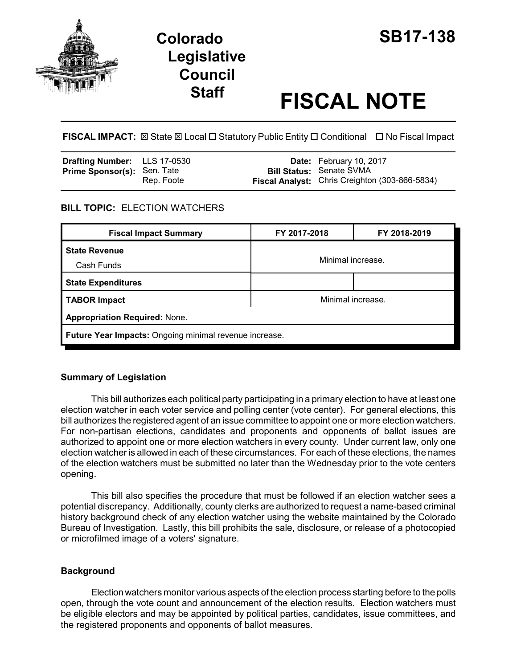

# **Colorado SB17-138 Legislative Council**

# **Staff FISCAL NOTE**

**FISCAL IMPACT:** ⊠ State ⊠ Local □ Statutory Public Entity □ Conditional □ No Fiscal Impact

| <b>Drafting Number:</b> LLS 17-0530 |            | <b>Date:</b> February 10, 2017                                                           |
|-------------------------------------|------------|------------------------------------------------------------------------------------------|
| <b>Prime Sponsor(s): Sen. Tate</b>  | Rep. Foote | <b>Bill Status: Senate SVMA</b><br><b>Fiscal Analyst:</b> Chris Creighton (303-866-5834) |

# **BILL TOPIC:** ELECTION WATCHERS

| <b>Fiscal Impact Summary</b>                           | FY 2017-2018      | FY 2018-2019 |  |  |  |
|--------------------------------------------------------|-------------------|--------------|--|--|--|
| <b>State Revenue</b><br>Cash Funds                     | Minimal increase. |              |  |  |  |
| <b>State Expenditures</b>                              |                   |              |  |  |  |
| <b>TABOR Impact</b>                                    | Minimal increase. |              |  |  |  |
| <b>Appropriation Required: None.</b>                   |                   |              |  |  |  |
| Future Year Impacts: Ongoing minimal revenue increase. |                   |              |  |  |  |

## **Summary of Legislation**

This bill authorizes each political party participating in a primary election to have at least one election watcher in each voter service and polling center (vote center). For general elections, this bill authorizes the registered agent of an issue committee to appoint one or more election watchers. For non-partisan elections, candidates and proponents and opponents of ballot issues are authorized to appoint one or more election watchers in every county. Under current law, only one election watcher is allowed in each of these circumstances. For each of these elections, the names of the election watchers must be submitted no later than the Wednesday prior to the vote centers opening.

This bill also specifies the procedure that must be followed if an election watcher sees a potential discrepancy. Additionally, county clerks are authorized to request a name-based criminal history background check of any election watcher using the website maintained by the Colorado Bureau of Investigation. Lastly, this bill prohibits the sale, disclosure, or release of a photocopied or microfilmed image of a voters' signature.

## **Background**

Election watchers monitor various aspects of the election process starting before to the polls open, through the vote count and announcement of the election results. Election watchers must be eligible electors and may be appointed by political parties, candidates, issue committees, and the registered proponents and opponents of ballot measures.